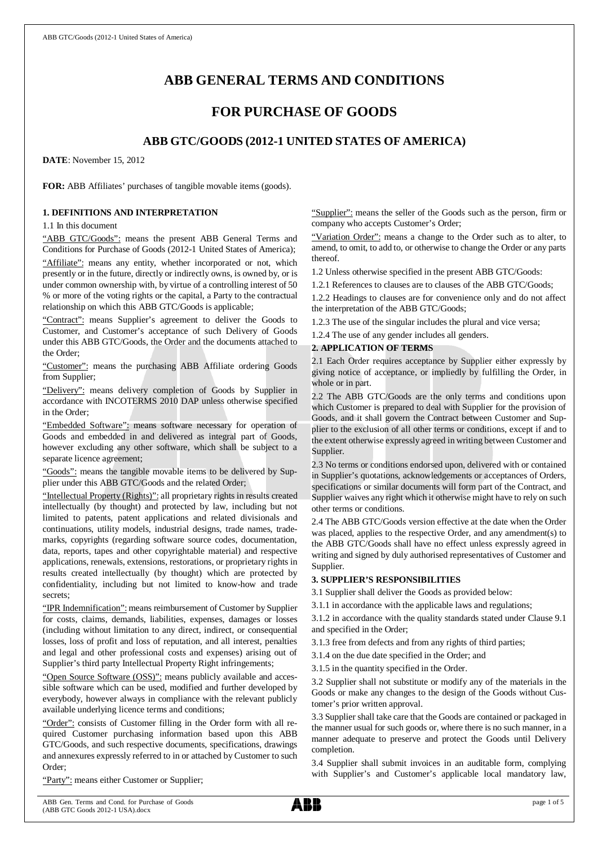# **ABB GENERAL TERMS AND CONDITIONS**

## **FOR PURCHASE OF GOODS**

## **ABB GTC/GOODS (2012-1 UNITED STATES OF AMERICA)**

**DATE**: November 15, 2012

**FOR:** ABB Affiliates' purchases of tangible movable items (goods).

### **1. DEFINITIONS AND INTERPRETATION**

1.1 In this document

"ABB GTC/Goods": means the present ABB General Terms and Conditions for Purchase of Goods (2012-1 United States of America);

"Affiliate": means any entity, whether incorporated or not, which presently or in the future, directly or indirectly owns, is owned by, or is under common ownership with, by virtue of a controlling interest of 50 % or more of the voting rights or the capital, a Party to the contractual relationship on which this ABB GTC/Goods is applicable;

"Contract": means Supplier's agreement to deliver the Goods to Customer, and Customer's acceptance of such Delivery of Goods under this ABB GTC/Goods, the Order and the documents attached to the Order;

"Customer": means the purchasing ABB Affiliate ordering Goods from Supplier;

"Delivery": means delivery completion of Goods by Supplier in accordance with INCOTERMS 2010 DAP unless otherwise specified in the Order;

"Embedded Software": means software necessary for operation of Goods and embedded in and delivered as integral part of Goods, however excluding any other software, which shall be subject to a separate licence agreement;

"Goods": means the tangible movable items to be delivered by Supplier under this ABB GTC/Goods and the related Order;

"Intellectual Property (Rights)": all proprietary rights in results created intellectually (by thought) and protected by law, including but not limited to patents, patent applications and related divisionals and continuations, utility models, industrial designs, trade names, trademarks, copyrights (regarding software source codes, documentation, data, reports, tapes and other copyrightable material) and respective applications, renewals, extensions, restorations, or proprietary rights in results created intellectually (by thought) which are protected by confidentiality, including but not limited to know-how and trade secrets;

"IPR Indemnification": means reimbursement of Customer by Supplier for costs, claims, demands, liabilities, expenses, damages or losses (including without limitation to any direct, indirect, or consequential losses, loss of profit and loss of reputation, and all interest, penalties and legal and other professional costs and expenses) arising out of Supplier's third party Intellectual Property Right infringements;

"Open Source Software (OSS)": means publicly available and accessible software which can be used, modified and further developed by everybody, however always in compliance with the relevant publicly available underlying licence terms and conditions;

"Order": consists of Customer filling in the Order form with all required Customer purchasing information based upon this ABB GTC/Goods, and such respective documents, specifications, drawings and annexures expressly referred to in or attached by Customer to such Order;

"Party": means either Customer or Supplier;

"Supplier": means the seller of the Goods such as the person, firm or company who accepts Customer's Order;

"Variation Order": means a change to the Order such as to alter, to amend, to omit, to add to, or otherwise to change the Order or any parts thereof.

1.2 Unless otherwise specified in the present ABB GTC/Goods:

1.2.1 References to clauses are to clauses of the ABB GTC/Goods;

1.2.2 Headings to clauses are for convenience only and do not affect the interpretation of the ABB GTC/Goods;

1.2.3 The use of the singular includes the plural and vice versa;

1.2.4 The use of any gender includes all genders.

### **2. APPLICATION OF TERMS**

2.1 Each Order requires acceptance by Supplier either expressly by giving notice of acceptance, or impliedly by fulfilling the Order, in whole or in part.

2.2 The ABB GTC/Goods are the only terms and conditions upon which Customer is prepared to deal with Supplier for the provision of Goods, and it shall govern the Contract between Customer and Supplier to the exclusion of all other terms or conditions, except if and to the extent otherwise expressly agreed in writing between Customer and Supplier.

2.3 No terms or conditions endorsed upon, delivered with or contained in Supplier's quotations, acknowledgements or acceptances of Orders, specifications or similar documents will form part of the Contract, and Supplier waives any right which it otherwise might have to rely on such other terms or conditions.

2.4 The ABB GTC/Goods version effective at the date when the Order was placed, applies to the respective Order, and any amendment(s) to the ABB GTC/Goods shall have no effect unless expressly agreed in writing and signed by duly authorised representatives of Customer and Supplier.

### **3. SUPPLIER'S RESPONSIBILITIES**

3.1 Supplier shall deliver the Goods as provided below:

3.1.1 in accordance with the applicable laws and regulations;

3.1.2 in accordance with the quality standards stated under Clause 9.1 and specified in the Order;

3.1.3 free from defects and from any rights of third parties;

3.1.4 on the due date specified in the Order; and

3.1.5 in the quantity specified in the Order.

3.2 Supplier shall not substitute or modify any of the materials in the Goods or make any changes to the design of the Goods without Customer's prior written approval.

3.3 Supplier shall take care that the Goods are contained or packaged in the manner usual for such goods or, where there is no such manner, in a manner adequate to preserve and protect the Goods until Delivery completion.

3.4 Supplier shall submit invoices in an auditable form, complying with Supplier's and Customer's applicable local mandatory law,

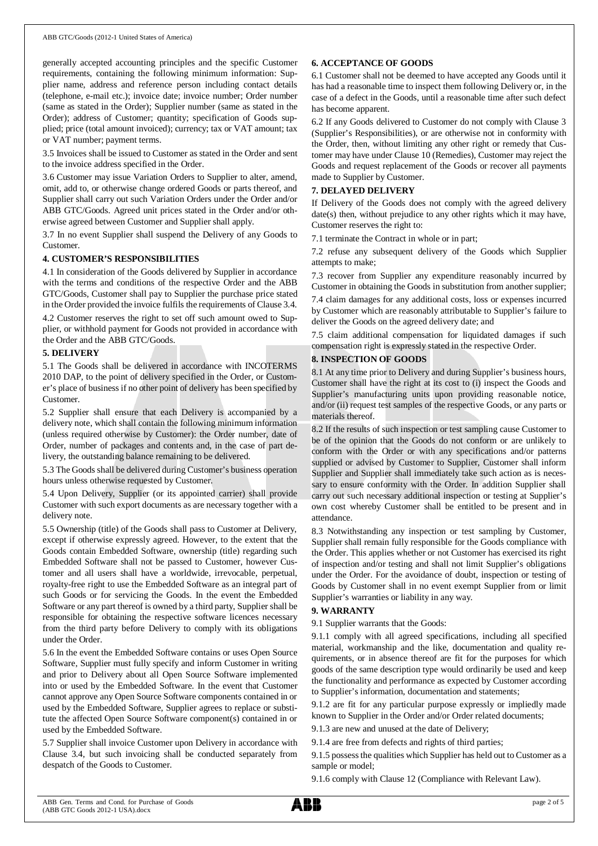generally accepted accounting principles and the specific Customer requirements, containing the following minimum information: Supplier name, address and reference person including contact details (telephone, e-mail etc.); invoice date; invoice number; Order number (same as stated in the Order); Supplier number (same as stated in the Order); address of Customer; quantity; specification of Goods supplied; price (total amount invoiced); currency; tax or VAT amount; tax or VAT number; payment terms.

3.5 Invoices shall be issued to Customer as stated in the Order and sent to the invoice address specified in the Order.

3.6 Customer may issue Variation Orders to Supplier to alter, amend, omit, add to, or otherwise change ordered Goods or parts thereof, and Supplier shall carry out such Variation Orders under the Order and/or ABB GTC/Goods. Agreed unit prices stated in the Order and/or otherwise agreed between Customer and Supplier shall apply.

3.7 In no event Supplier shall suspend the Delivery of any Goods to Customer.

### **4. CUSTOMER'S RESPONSIBILITIES**

4.1 In consideration of the Goods delivered by Supplier in accordance with the terms and conditions of the respective Order and the ABB GTC/Goods, Customer shall pay to Supplier the purchase price stated in the Order provided the invoice fulfils the requirements of Clause 3.4.

4.2 Customer reserves the right to set off such amount owed to Supplier, or withhold payment for Goods not provided in accordance with the Order and the ABB GTC/Goods.

### **5. DELIVERY**

5.1 The Goods shall be delivered in accordance with INCOTERMS 2010 DAP, to the point of delivery specified in the Order, or Customer's place of business if no other point of delivery has been specified by Customer.

5.2 Supplier shall ensure that each Delivery is accompanied by a delivery note, which shall contain the following minimum information (unless required otherwise by Customer): the Order number, date of Order, number of packages and contents and, in the case of part delivery, the outstanding balance remaining to be delivered.

5.3 The Goods shall be delivered during Customer's business operation hours unless otherwise requested by Customer.

5.4 Upon Delivery, Supplier (or its appointed carrier) shall provide Customer with such export documents as are necessary together with a delivery note.

5.5 Ownership (title) of the Goods shall pass to Customer at Delivery, except if otherwise expressly agreed. However, to the extent that the Goods contain Embedded Software, ownership (title) regarding such Embedded Software shall not be passed to Customer, however Customer and all users shall have a worldwide, irrevocable, perpetual, royalty-free right to use the Embedded Software as an integral part of such Goods or for servicing the Goods. In the event the Embedded Software or any part thereof is owned by a third party, Supplier shall be responsible for obtaining the respective software licences necessary from the third party before Delivery to comply with its obligations under the Order.

5.6 In the event the Embedded Software contains or uses Open Source Software, Supplier must fully specify and inform Customer in writing and prior to Delivery about all Open Source Software implemented into or used by the Embedded Software. In the event that Customer cannot approve any Open Source Software components contained in or used by the Embedded Software, Supplier agrees to replace or substitute the affected Open Source Software component(s) contained in or used by the Embedded Software.

5.7 Supplier shall invoice Customer upon Delivery in accordance with Clause 3.4, but such invoicing shall be conducted separately from despatch of the Goods to Customer.

### **6. ACCEPTANCE OF GOODS**

6.1 Customer shall not be deemed to have accepted any Goods until it has had a reasonable time to inspect them following Delivery or, in the case of a defect in the Goods, until a reasonable time after such defect has become apparent.

6.2 If any Goods delivered to Customer do not comply with Clause 3 (Supplier's Responsibilities), or are otherwise not in conformity with the Order, then, without limiting any other right or remedy that Customer may have under Clause 10 (Remedies), Customer may reject the Goods and request replacement of the Goods or recover all payments made to Supplier by Customer.

### **7. DELAYED DELIVERY**

If Delivery of the Goods does not comply with the agreed delivery date(s) then, without prejudice to any other rights which it may have, Customer reserves the right to:

7.1 terminate the Contract in whole or in part;

7.2 refuse any subsequent delivery of the Goods which Supplier attempts to make;

7.3 recover from Supplier any expenditure reasonably incurred by Customer in obtaining the Goods in substitution from another supplier;

7.4 claim damages for any additional costs, loss or expenses incurred by Customer which are reasonably attributable to Supplier's failure to deliver the Goods on the agreed delivery date; and

7.5 claim additional compensation for liquidated damages if such compensation right is expressly stated in the respective Order.

### **8. INSPECTION OF GOODS**

8.1 At any time prior to Delivery and during Supplier's business hours, Customer shall have the right at its cost to (i) inspect the Goods and Supplier's manufacturing units upon providing reasonable notice, and/or (ii) request test samples of the respective Goods, or any parts or materials thereof.

8.2 If the results of such inspection or test sampling cause Customer to be of the opinion that the Goods do not conform or are unlikely to conform with the Order or with any specifications and/or patterns supplied or advised by Customer to Supplier, Customer shall inform Supplier and Supplier shall immediately take such action as is necessary to ensure conformity with the Order. In addition Supplier shall carry out such necessary additional inspection or testing at Supplier's own cost whereby Customer shall be entitled to be present and in attendance.

8.3 Notwithstanding any inspection or test sampling by Customer, Supplier shall remain fully responsible for the Goods compliance with the Order. This applies whether or not Customer has exercised its right of inspection and/or testing and shall not limit Supplier's obligations under the Order. For the avoidance of doubt, inspection or testing of Goods by Customer shall in no event exempt Supplier from or limit Supplier's warranties or liability in any way.

### **9. WARRANTY**

9.1 Supplier warrants that the Goods:

9.1.1 comply with all agreed specifications, including all specified material, workmanship and the like, documentation and quality requirements, or in absence thereof are fit for the purposes for which goods of the same description type would ordinarily be used and keep the functionality and performance as expected by Customer according to Supplier's information, documentation and statements;

9.1.2 are fit for any particular purpose expressly or impliedly made known to Supplier in the Order and/or Order related documents;

9.1.3 are new and unused at the date of Delivery;

9.1.4 are free from defects and rights of third parties;

9.1.5 possess the qualities which Supplier has held out to Customer as a sample or model;

9.1.6 comply with Clause 12 (Compliance with Relevant Law).

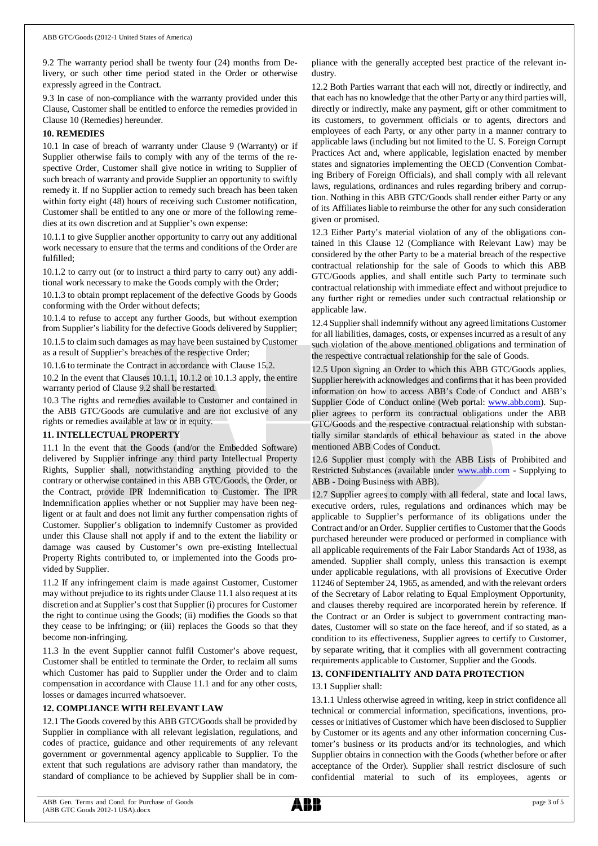9.2 The warranty period shall be twenty four (24) months from Delivery, or such other time period stated in the Order or otherwise expressly agreed in the Contract.

9.3 In case of non-compliance with the warranty provided under this Clause, Customer shall be entitled to enforce the remedies provided in Clause 10 (Remedies) hereunder.

### **10. REMEDIES**

10.1 In case of breach of warranty under Clause 9 (Warranty) or if Supplier otherwise fails to comply with any of the terms of the respective Order, Customer shall give notice in writing to Supplier of such breach of warranty and provide Supplier an opportunity to swiftly remedy it. If no Supplier action to remedy such breach has been taken within forty eight (48) hours of receiving such Customer notification, Customer shall be entitled to any one or more of the following remedies at its own discretion and at Supplier's own expense:

10.1.1 to give Supplier another opportunity to carry out any additional work necessary to ensure that the terms and conditions of the Order are fulfilled;

10.1.2 to carry out (or to instruct a third party to carry out) any additional work necessary to make the Goods comply with the Order;

10.1.3 to obtain prompt replacement of the defective Goods by Goods conforming with the Order without defects;

10.1.4 to refuse to accept any further Goods, but without exemption from Supplier's liability for the defective Goods delivered by Supplier;

10.1.5 to claim such damages as may have been sustained by Customer as a result of Supplier's breaches of the respective Order;

10.1.6 to terminate the Contract in accordance with Clause 15.2.

10.2 In the event that Clauses 10.1.1, 10.1.2 or 10.1.3 apply, the entire warranty period of Clause 9.2 shall be restarted.

10.3 The rights and remedies available to Customer and contained in the ABB GTC/Goods are cumulative and are not exclusive of any rights or remedies available at law or in equity.

### **11. INTELLECTUAL PROPERTY**

11.1 In the event that the Goods (and/or the Embedded Software) delivered by Supplier infringe any third party Intellectual Property Rights, Supplier shall, notwithstanding anything provided to the contrary or otherwise contained in this ABB GTC/Goods, the Order, or the Contract, provide IPR Indemnification to Customer. The IPR Indemnification applies whether or not Supplier may have been negligent or at fault and does not limit any further compensation rights of Customer. Supplier's obligation to indemnify Customer as provided under this Clause shall not apply if and to the extent the liability or damage was caused by Customer's own pre-existing Intellectual Property Rights contributed to, or implemented into the Goods provided by Supplier.

11.2 If any infringement claim is made against Customer, Customer may without prejudice to its rights under Clause 11.1 also request at its discretion and at Supplier's cost that Supplier (i) procures for Customer the right to continue using the Goods; (ii) modifies the Goods so that they cease to be infringing; or (iii) replaces the Goods so that they become non-infringing.

11.3 In the event Supplier cannot fulfil Customer's above request, Customer shall be entitled to terminate the Order, to reclaim all sums which Customer has paid to Supplier under the Order and to claim compensation in accordance with Clause 11.1 and for any other costs, losses or damages incurred whatsoever.

### **12. COMPLIANCE WITH RELEVANT LAW**

12.1 The Goods covered by this ABB GTC/Goods shall be provided by Supplier in compliance with all relevant legislation, regulations, and codes of practice, guidance and other requirements of any relevant government or governmental agency applicable to Supplier. To the extent that such regulations are advisory rather than mandatory, the standard of compliance to be achieved by Supplier shall be in compliance with the generally accepted best practice of the relevant industry.

12.2 Both Parties warrant that each will not, directly or indirectly, and that each has no knowledge that the other Party or any third parties will, directly or indirectly, make any payment, gift or other commitment to its customers, to government officials or to agents, directors and employees of each Party, or any other party in a manner contrary to applicable laws (including but not limited to the U. S. Foreign Corrupt Practices Act and, where applicable, legislation enacted by member states and signatories implementing the OECD (Convention Combating Bribery of Foreign Officials), and shall comply with all relevant laws, regulations, ordinances and rules regarding bribery and corruption. Nothing in this ABB GTC/Goods shall render either Party or any of its Affiliates liable to reimburse the other for any such consideration given or promised.

12.3 Either Party's material violation of any of the obligations contained in this Clause 12 (Compliance with Relevant Law) may be considered by the other Party to be a material breach of the respective contractual relationship for the sale of Goods to which this ABB GTC/Goods applies, and shall entitle such Party to terminate such contractual relationship with immediate effect and without prejudice to any further right or remedies under such contractual relationship or applicable law.

12.4 Supplier shall indemnify without any agreed limitations Customer for all liabilities, damages, costs, or expenses incurred as a result of any such violation of the above mentioned obligations and termination of the respective contractual relationship for the sale of Goods.

12.5 Upon signing an Order to which this ABB GTC/Goods applies, Supplier herewith acknowledges and confirms that it has been provided information on how to access ABB's Code of Conduct and ABB's Supplier Code of Conduct online (Web portal: [www.abb.com](http://www.abb.com/)). Supplier agrees to perform its contractual obligations under the ABB GTC/Goods and the respective contractual relationship with substantially similar standards of ethical behaviour as stated in the above mentioned ABB Codes of Conduct.

12.6 Supplier must comply with the ABB Lists of Prohibited and Restricted Substances (available under [www.abb.com](http://www.abb.com/) - Supplying to ABB - Doing Business with ABB).

12.7 Supplier agrees to comply with all federal, state and local laws, executive orders, rules, regulations and ordinances which may be applicable to Supplier's performance of its obligations under the Contract and/or an Order. Supplier certifies to Customer that the Goods purchased hereunder were produced or performed in compliance with all applicable requirements of the Fair Labor Standards Act of 1938, as amended. Supplier shall comply, unless this transaction is exempt under applicable regulations, with all provisions of Executive Order 11246 of September 24, 1965, as amended, and with the relevant orders of the Secretary of Labor relating to Equal Employment Opportunity, and clauses thereby required are incorporated herein by reference. If the Contract or an Order is subject to government contracting mandates, Customer will so state on the face hereof, and if so stated, as a condition to its effectiveness, Supplier agrees to certify to Customer, by separate writing, that it complies with all government contracting requirements applicable to Customer, Supplier and the Goods.

### **13. CONFIDENTIALITY AND DATA PROTECTION**

### 13.1 Supplier shall:

13.1.1 Unless otherwise agreed in writing, keep in strict confidence all technical or commercial information, specifications, inventions, processes or initiatives of Customer which have been disclosed to Supplier by Customer or its agents and any other information concerning Customer's business or its products and/or its technologies, and which Supplier obtains in connection with the Goods (whether before or after acceptance of the Order). Supplier shall restrict disclosure of such confidential material to such of its employees, agents or

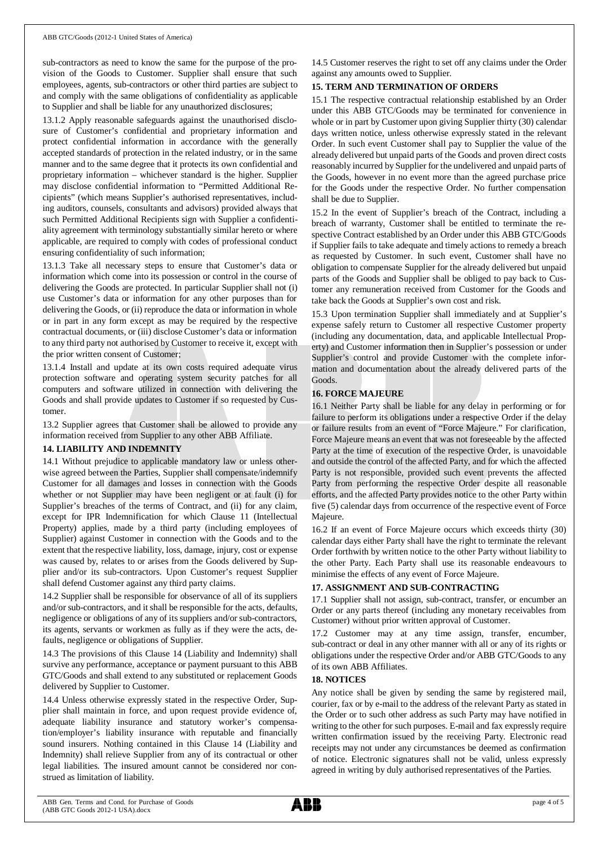sub-contractors as need to know the same for the purpose of the provision of the Goods to Customer. Supplier shall ensure that such employees, agents, sub-contractors or other third parties are subject to and comply with the same obligations of confidentiality as applicable to Supplier and shall be liable for any unauthorized disclosures;

13.1.2 Apply reasonable safeguards against the unauthorised disclosure of Customer's confidential and proprietary information and protect confidential information in accordance with the generally accepted standards of protection in the related industry, or in the same manner and to the same degree that it protects its own confidential and proprietary information – whichever standard is the higher. Supplier may disclose confidential information to "Permitted Additional Recipients" (which means Supplier's authorised representatives, including auditors, counsels, consultants and advisors) provided always that such Permitted Additional Recipients sign with Supplier a confidentiality agreement with terminology substantially similar hereto or where applicable, are required to comply with codes of professional conduct ensuring confidentiality of such information;

13.1.3 Take all necessary steps to ensure that Customer's data or information which come into its possession or control in the course of delivering the Goods are protected. In particular Supplier shall not (i) use Customer's data or information for any other purposes than for delivering the Goods, or (ii) reproduce the data or information in whole or in part in any form except as may be required by the respective contractual documents, or (iii) disclose Customer's data or information to any third party not authorised by Customer to receive it, except with the prior written consent of Customer;

13.1.4 Install and update at its own costs required adequate virus protection software and operating system security patches for all computers and software utilized in connection with delivering the Goods and shall provide updates to Customer if so requested by Customer.

13.2 Supplier agrees that Customer shall be allowed to provide any information received from Supplier to any other ABB Affiliate.

### **14. LIABILITY AND INDEMNITY**

14.1 Without prejudice to applicable mandatory law or unless otherwise agreed between the Parties, Supplier shall compensate/indemnify Customer for all damages and losses in connection with the Goods whether or not Supplier may have been negligent or at fault (i) for Supplier's breaches of the terms of Contract, and (ii) for any claim, except for IPR Indemnification for which Clause 11 (Intellectual Property) applies, made by a third party (including employees of Supplier) against Customer in connection with the Goods and to the extent that the respective liability, loss, damage, injury, cost or expense was caused by, relates to or arises from the Goods delivered by Supplier and/or its sub-contractors. Upon Customer's request Supplier shall defend Customer against any third party claims.

14.2 Supplier shall be responsible for observance of all of its suppliers and/or sub-contractors, and it shall be responsible for the acts, defaults, negligence or obligations of any of its suppliers and/or sub-contractors, its agents, servants or workmen as fully as if they were the acts, defaults, negligence or obligations of Supplier.

14.3 The provisions of this Clause 14 (Liability and Indemnity) shall survive any performance, acceptance or payment pursuant to this ABB GTC/Goods and shall extend to any substituted or replacement Goods delivered by Supplier to Customer.

14.4 Unless otherwise expressly stated in the respective Order, Supplier shall maintain in force, and upon request provide evidence of, adequate liability insurance and statutory worker's compensation/employer's liability insurance with reputable and financially sound insurers. Nothing contained in this Clause 14 (Liability and Indemnity) shall relieve Supplier from any of its contractual or other legal liabilities. The insured amount cannot be considered nor construed as limitation of liability.

14.5 Customer reserves the right to set off any claims under the Order against any amounts owed to Supplier.

### **15. TERM AND TERMINATION OF ORDERS**

15.1 The respective contractual relationship established by an Order under this ABB GTC/Goods may be terminated for convenience in whole or in part by Customer upon giving Supplier thirty (30) calendar days written notice, unless otherwise expressly stated in the relevant Order. In such event Customer shall pay to Supplier the value of the already delivered but unpaid parts of the Goods and proven direct costs reasonably incurred by Supplier for the undelivered and unpaid parts of the Goods, however in no event more than the agreed purchase price for the Goods under the respective Order. No further compensation shall be due to Supplier.

15.2 In the event of Supplier's breach of the Contract, including a breach of warranty, Customer shall be entitled to terminate the respective Contract established by an Order under this ABB GTC/Goods if Supplier fails to take adequate and timely actions to remedy a breach as requested by Customer. In such event, Customer shall have no obligation to compensate Supplier for the already delivered but unpaid parts of the Goods and Supplier shall be obliged to pay back to Customer any remuneration received from Customer for the Goods and take back the Goods at Supplier's own cost and risk.

15.3 Upon termination Supplier shall immediately and at Supplier's expense safely return to Customer all respective Customer property (including any documentation, data, and applicable Intellectual Property) and Customer information then in Supplier's possession or under Supplier's control and provide Customer with the complete information and documentation about the already delivered parts of the Goods.

### **16. FORCE MAJEURE**

16.1 Neither Party shall be liable for any delay in performing or for failure to perform its obligations under a respective Order if the delay or failure results from an event of "Force Majeure." For clarification, Force Majeure means an event that was not foreseeable by the affected Party at the time of execution of the respective Order, is unavoidable and outside the control of the affected Party, and for which the affected Party is not responsible, provided such event prevents the affected Party from performing the respective Order despite all reasonable efforts, and the affected Party provides notice to the other Party within five (5) calendar days from occurrence of the respective event of Force Majeure.

16.2 If an event of Force Majeure occurs which exceeds thirty (30) calendar days either Party shall have the right to terminate the relevant Order forthwith by written notice to the other Party without liability to the other Party. Each Party shall use its reasonable endeavours to minimise the effects of any event of Force Majeure.

### **17. ASSIGNMENT AND SUB-CONTRACTING**

17.1 Supplier shall not assign, sub-contract, transfer, or encumber an Order or any parts thereof (including any monetary receivables from Customer) without prior written approval of Customer.

17.2 Customer may at any time assign, transfer, encumber, sub-contract or deal in any other manner with all or any of its rights or obligations under the respective Order and/or ABB GTC/Goods to any of its own ABB Affiliates.

### **18. NOTICES**

Any notice shall be given by sending the same by registered mail, courier, fax or by e-mail to the address of the relevant Party as stated in the Order or to such other address as such Party may have notified in writing to the other for such purposes. E-mail and fax expressly require written confirmation issued by the receiving Party. Electronic read receipts may not under any circumstances be deemed as confirmation of notice. Electronic signatures shall not be valid, unless expressly agreed in writing by duly authorised representatives of the Parties.